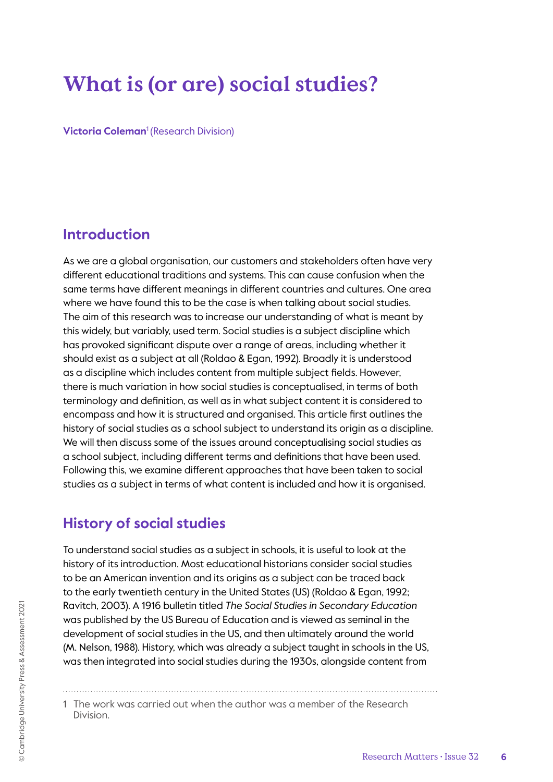# **What is (or are) social studies?**

**Victoria Coleman**<sup>1</sup> (Research Division)

# **Introduction**

As we are a global organisation, our customers and stakeholders often have very different educational traditions and systems. This can cause confusion when the same terms have different meanings in different countries and cultures. One area where we have found this to be the case is when talking about social studies. The aim of this research was to increase our understanding of what is meant by this widely, but variably, used term. Social studies is a subject discipline which has provoked significant dispute over a range of areas, including whether it should exist as a subject at all (Roldao & Egan, 1992). Broadly it is understood as a discipline which includes content from multiple subject fields. However, there is much variation in how social studies is conceptualised, in terms of both terminology and definition, as well as in what subject content it is considered to encompass and how it is structured and organised. This article first outlines the history of social studies as a school subject to understand its origin as a discipline. We will then discuss some of the issues around conceptualising social studies as a school subject, including different terms and definitions that have been used. Following this, we examine different approaches that have been taken to social studies as a subject in terms of what content is included and how it is organised.

# **History of social studies**

To understand social studies as a subject in schools, it is useful to look at the history of its introduction. Most educational historians consider social studies to be an American invention and its origins as a subject can be traced back to the early twentieth century in the United States (US) (Roldao & Egan, 1992; Ravitch, 2003). A 1916 bulletin titled *The Social Studies in Secondary Education* was published by the US Bureau of Education and is viewed as seminal in the development of social studies in the US, and then ultimately around the world (M. Nelson, 1988). History, which was already a subject taught in schools in the US, was then integrated into social studies during the 1930s, alongside content from

<sup>1</sup> The work was carried out when the author was a member of the Research Division.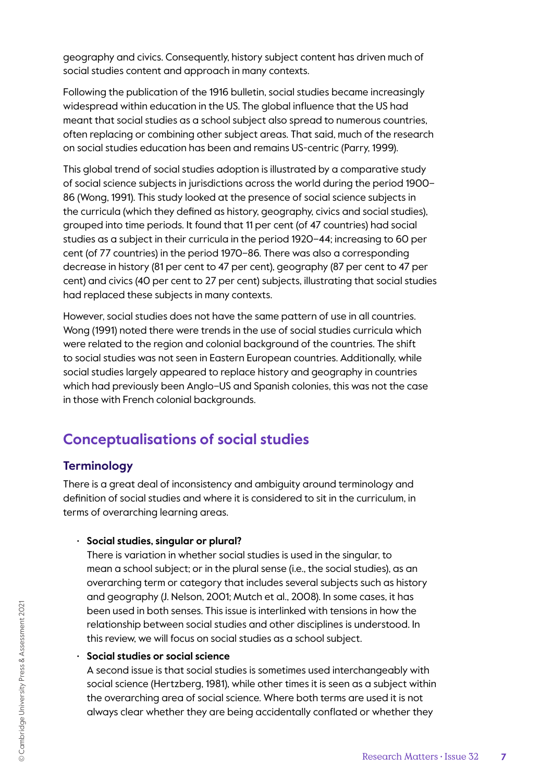geography and civics. Consequently, history subject content has driven much of social studies content and approach in many contexts.

Following the publication of the 1916 bulletin, social studies became increasingly widespread within education in the US. The global influence that the US had meant that social studies as a school subject also spread to numerous countries, often replacing or combining other subject areas. That said, much of the research on social studies education has been and remains US-centric (Parry, 1999).

This global trend of social studies adoption is illustrated by a comparative study of social science subjects in jurisdictions across the world during the period 1900– 86 (Wong, 1991). This study looked at the presence of social science subjects in the curricula (which they defined as history, geography, civics and social studies), grouped into time periods. It found that 11 per cent (of 47 countries) had social studies as a subject in their curricula in the period 1920–44; increasing to 60 per cent (of 77 countries) in the period 1970–86. There was also a corresponding decrease in history (81 per cent to 47 per cent), geography (87 per cent to 47 per cent) and civics (40 per cent to 27 per cent) subjects, illustrating that social studies had replaced these subjects in many contexts.

However, social studies does not have the same pattern of use in all countries. Wong (1991) noted there were trends in the use of social studies curricula which were related to the region and colonial background of the countries. The shift to social studies was not seen in Eastern European countries. Additionally, while social studies largely appeared to replace history and geography in countries which had previously been Anglo–US and Spanish colonies, this was not the case in those with French colonial backgrounds.

# **Conceptualisations of social studies**

### **Terminology**

There is a great deal of inconsistency and ambiguity around terminology and definition of social studies and where it is considered to sit in the curriculum, in terms of overarching learning areas.

#### • **Social studies, singular or plural?**

There is variation in whether social studies is used in the singular, to mean a school subject; or in the plural sense (i.e., the social studies), as an overarching term or category that includes several subjects such as history and geography (J. Nelson, 2001; Mutch et al., 2008). In some cases, it has been used in both senses. This issue is interlinked with tensions in how the relationship between social studies and other disciplines is understood. In this review, we will focus on social studies as a school subject.

#### • **Social studies or social science**

A second issue is that social studies is sometimes used interchangeably with social science (Hertzberg, 1981), while other times it is seen as a subject within the overarching area of social science. Where both terms are used it is not always clear whether they are being accidentally conflated or whether they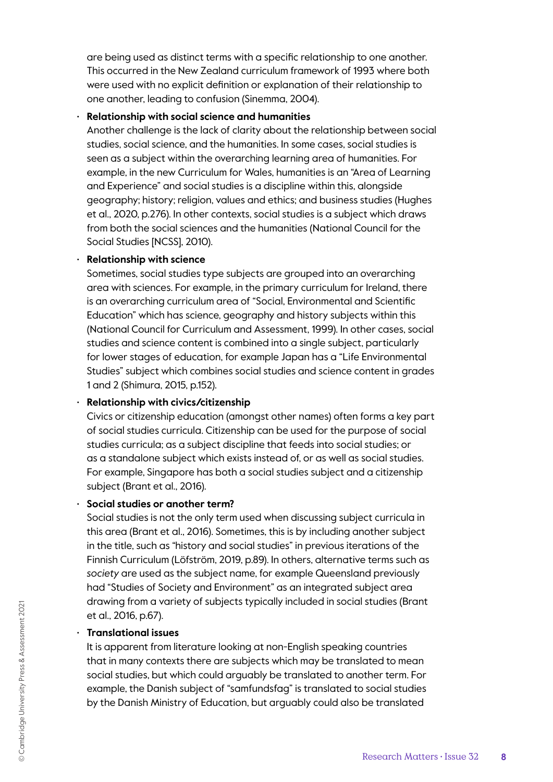are being used as distinct terms with a specific relationship to one another. This occurred in the New Zealand curriculum framework of 1993 where both were used with no explicit definition or explanation of their relationship to one another, leading to confusion (Sinemma, 2004).

#### • **Relationship with social science and humanities**

Another challenge is the lack of clarity about the relationship between social studies, social science, and the humanities. In some cases, social studies is seen as a subject within the overarching learning area of humanities. For example, in the new Curriculum for Wales, humanities is an "Area of Learning and Experience" and social studies is a discipline within this, alongside geography; history; religion, values and ethics; and business studies (Hughes et al., 2020, p.276). In other contexts, social studies is a subject which draws from both the social sciences and the humanities (National Council for the Social Studies [NCSS], 2010).

#### • **Relationship with science**

Sometimes, social studies type subjects are grouped into an overarching area with sciences. For example, in the primary curriculum for Ireland, there is an overarching curriculum area of "Social, Environmental and Scientific Education" which has science, geography and history subjects within this (National Council for Curriculum and Assessment, 1999). In other cases, social studies and science content is combined into a single subject, particularly for lower stages of education, for example Japan has a "Life Environmental Studies" subject which combines social studies and science content in grades 1 and 2 (Shimura, 2015, p.152).

#### • **Relationship with civics/citizenship**

Civics or citizenship education (amongst other names) often forms a key part of social studies curricula. Citizenship can be used for the purpose of social studies curricula; as a subject discipline that feeds into social studies; or as a standalone subject which exists instead of, or as well as social studies. For example, Singapore has both a social studies subject and a citizenship subject (Brant et al., 2016).

#### • **Social studies or another term?**

Social studies is not the only term used when discussing subject curricula in this area (Brant et al., 2016). Sometimes, this is by including another subject in the title, such as "history and social studies" in previous iterations of the Finnish Curriculum (Löfström, 2019, p.89). In others, alternative terms such as *society* are used as the subject name, for example Queensland previously had "Studies of Society and Environment" as an integrated subject area drawing from a variety of subjects typically included in social studies (Brant et al., 2016, p.67).

#### • **Translational issues**

It is apparent from literature looking at non-English speaking countries that in many contexts there are subjects which may be translated to mean social studies, but which could arguably be translated to another term. For example, the Danish subject of "samfundsfag" is translated to social studies by the Danish Ministry of Education, but arguably could also be translated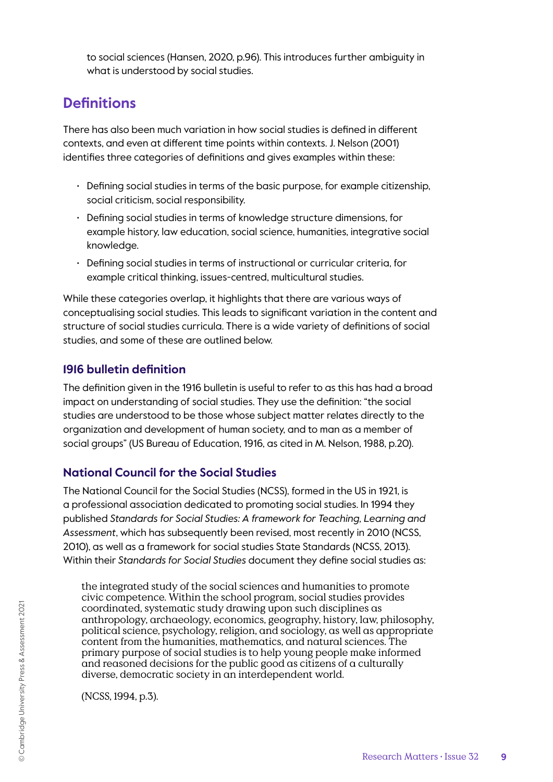to social sciences (Hansen, 2020, p.96). This introduces further ambiguity in what is understood by social studies.

# **Definitions**

There has also been much variation in how social studies is defined in different contexts, and even at different time points within contexts. J. Nelson (2001) identifies three categories of definitions and gives examples within these:

- Defining social studies in terms of the basic purpose, for example citizenship, social criticism, social responsibility.
- Defining social studies in terms of knowledge structure dimensions, for example history, law education, social science, humanities, integrative social knowledge.
- Defining social studies in terms of instructional or curricular criteria, for example critical thinking, issues-centred, multicultural studies.

While these categories overlap, it highlights that there are various ways of conceptualising social studies. This leads to significant variation in the content and structure of social studies curricula. There is a wide variety of definitions of social studies, and some of these are outlined below.

### **1916 bulletin definition**

The definition given in the 1916 bulletin is useful to refer to as this has had a broad impact on understanding of social studies. They use the definition: "the social studies are understood to be those whose subject matter relates directly to the organization and development of human society, and to man as a member of social groups" (US Bureau of Education, 1916, as cited in M. Nelson, 1988, p.20).

# **National Council for the Social Studies**

The National Council for the Social Studies (NCSS), formed in the US in 1921, is a professional association dedicated to promoting social studies. In 1994 they published *Standards for Social Studies: A framework for Teaching, Learning and Assessment*, which has subsequently been revised, most recently in 2010 (NCSS, 2010), as well as a framework for social studies State Standards (NCSS, 2013). Within their *Standards for Social Studies* document they define social studies as:

the integrated study of the social sciences and humanities to promote civic competence. Within the school program, social studies provides coordinated, systematic study drawing upon such disciplines as anthropology, archaeology, economics, geography, history, law, philosophy, political science, psychology, religion, and sociology, as well as appropriate content from the humanities, mathematics, and natural sciences. The primary purpose of social studies is to help young people make informed and reasoned decisions for the public good as citizens of a culturally diverse, democratic society in an interdependent world.

(NCSS, 1994, p.3).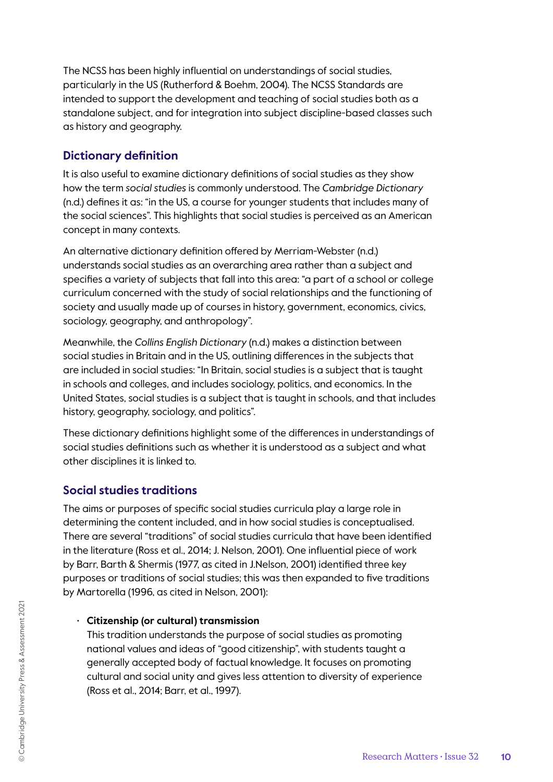The NCSS has been highly influential on understandings of social studies, particularly in the US (Rutherford & Boehm, 2004). The NCSS Standards are intended to support the development and teaching of social studies both as a standalone subject, and for integration into subject discipline-based classes such as history and geography.

# **Dictionary definition**

It is also useful to examine dictionary definitions of social studies as they show how the term *social studies* is commonly understood. The *Cambridge Dictionary* (n.d.) defines it as: "in the US, a course for younger students that includes many of the social sciences". This highlights that social studies is perceived as an American concept in many contexts.

An alternative dictionary definition offered by Merriam-Webster (n.d.) understands social studies as an overarching area rather than a subject and specifies a variety of subjects that fall into this area: "a part of a school or college curriculum concerned with the study of social relationships and the functioning of society and usually made up of courses in history, government, economics, civics, sociology, geography, and anthropology".

Meanwhile, the *Collins English Dictionary* (n.d.) makes a distinction between social studies in Britain and in the US, outlining differences in the subjects that are included in social studies: "In Britain, social studies is a subject that is taught in schools and colleges, and includes sociology, politics, and economics. In the United States, social studies is a subject that is taught in schools, and that includes history, geography, sociology, and politics".

These dictionary definitions highlight some of the differences in understandings of social studies definitions such as whether it is understood as a subject and what other disciplines it is linked to.

# **Social studies traditions**

The aims or purposes of specific social studies curricula play a large role in determining the content included, and in how social studies is conceptualised. There are several "traditions" of social studies curricula that have been identified in the literature (Ross et al., 2014; J. Nelson, 2001). One influential piece of work by Barr, Barth & Shermis (1977, as cited in J.Nelson, 2001) identified three key purposes or traditions of social studies; this was then expanded to five traditions by Martorella (1996, as cited in Nelson, 2001):

#### • **Citizenship (or cultural) transmission**

This tradition understands the purpose of social studies as promoting national values and ideas of "good citizenship", with students taught a generally accepted body of factual knowledge. It focuses on promoting cultural and social unity and gives less attention to diversity of experience (Ross et al., 2014; Barr, et al., 1997).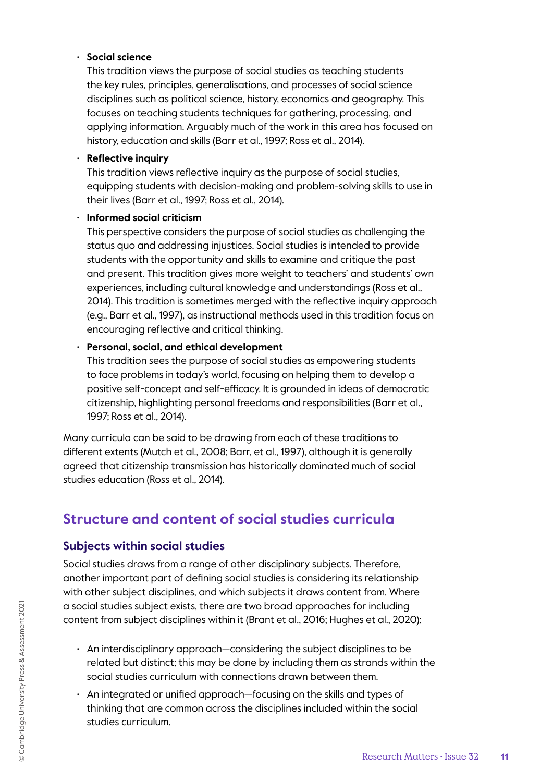#### • **Social science**

This tradition views the purpose of social studies as teaching students the key rules, principles, generalisations, and processes of social science disciplines such as political science, history, economics and geography. This focuses on teaching students techniques for gathering, processing, and applying information. Arguably much of the work in this area has focused on history, education and skills (Barr et al., 1997; Ross et al., 2014).

#### • **Reflective inquiry**

This tradition views reflective inquiry as the purpose of social studies, equipping students with decision-making and problem-solving skills to use in their lives (Barr et al., 1997; Ross et al., 2014).

#### • **Informed social criticism**

This perspective considers the purpose of social studies as challenging the status quo and addressing injustices. Social studies is intended to provide students with the opportunity and skills to examine and critique the past and present. This tradition gives more weight to teachers' and students' own experiences, including cultural knowledge and understandings (Ross et al., 2014). This tradition is sometimes merged with the reflective inquiry approach (e.g., Barr et al., 1997), as instructional methods used in this tradition focus on encouraging reflective and critical thinking.

#### • **Personal, social, and ethical development**

This tradition sees the purpose of social studies as empowering students to face problems in today's world, focusing on helping them to develop a positive self-concept and self-efficacy. It is grounded in ideas of democratic citizenship, highlighting personal freedoms and responsibilities (Barr et al., 1997; Ross et al., 2014).

Many curricula can be said to be drawing from each of these traditions to different extents (Mutch et al., 2008; Barr, et al., 1997), although it is generally agreed that citizenship transmission has historically dominated much of social studies education (Ross et al., 2014).

# **Structure and content of social studies curricula**

### **Subjects within social studies**

Social studies draws from a range of other disciplinary subjects. Therefore, another important part of defining social studies is considering its relationship with other subject disciplines, and which subjects it draws content from. Where a social studies subject exists, there are two broad approaches for including content from subject disciplines within it (Brant et al., 2016; Hughes et al., 2020):

- An interdisciplinary approach—considering the subject disciplines to be related but distinct; this may be done by including them as strands within the social studies curriculum with connections drawn between them.
- An integrated or unified approach—focusing on the skills and types of thinking that are common across the disciplines included within the social studies curriculum.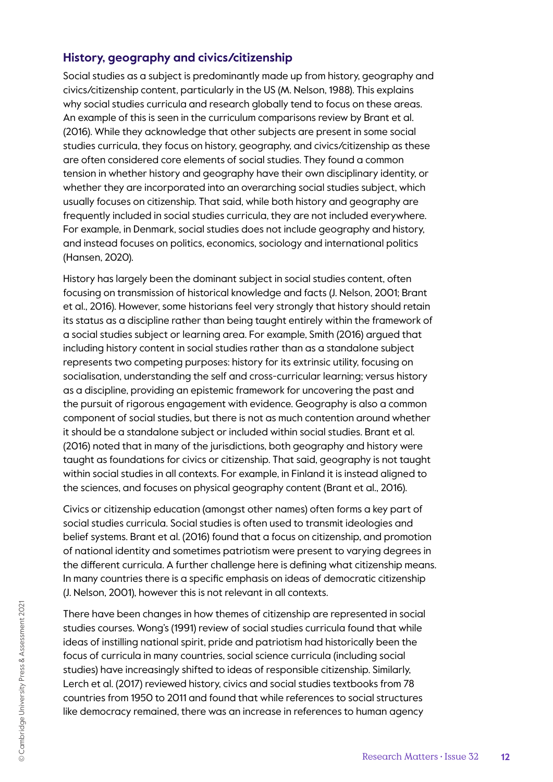### **History, geography and civics/citizenship**

Social studies as a subject is predominantly made up from history, geography and civics/citizenship content, particularly in the US (M. Nelson, 1988). This explains why social studies curricula and research globally tend to focus on these areas. An example of this is seen in the curriculum comparisons review by Brant et al. (2016). While they acknowledge that other subjects are present in some social studies curricula, they focus on history, geography, and civics/citizenship as these are often considered core elements of social studies. They found a common tension in whether history and geography have their own disciplinary identity, or whether they are incorporated into an overarching social studies subject, which usually focuses on citizenship. That said, while both history and geography are frequently included in social studies curricula, they are not included everywhere. For example, in Denmark, social studies does not include geography and history, and instead focuses on politics, economics, sociology and international politics (Hansen, 2020).

History has largely been the dominant subject in social studies content, often focusing on transmission of historical knowledge and facts (J. Nelson, 2001; Brant et al., 2016). However, some historians feel very strongly that history should retain its status as a discipline rather than being taught entirely within the framework of a social studies subject or learning area. For example, Smith (2016) argued that including history content in social studies rather than as a standalone subject represents two competing purposes: history for its extrinsic utility, focusing on socialisation, understanding the self and cross-curricular learning; versus history as a discipline, providing an epistemic framework for uncovering the past and the pursuit of rigorous engagement with evidence. Geography is also a common component of social studies, but there is not as much contention around whether it should be a standalone subject or included within social studies. Brant et al. (2016) noted that in many of the jurisdictions, both geography and history were taught as foundations for civics or citizenship. That said, geography is not taught within social studies in all contexts. For example, in Finland it is instead aligned to the sciences, and focuses on physical geography content (Brant et al., 2016).

Civics or citizenship education (amongst other names) often forms a key part of social studies curricula. Social studies is often used to transmit ideologies and belief systems. Brant et al. (2016) found that a focus on citizenship, and promotion of national identity and sometimes patriotism were present to varying degrees in the different curricula. A further challenge here is defining what citizenship means. In many countries there is a specific emphasis on ideas of democratic citizenship (J. Nelson, 2001), however this is not relevant in all contexts.

There have been changes in how themes of citizenship are represented in social studies courses. Wong's (1991) review of social studies curricula found that while ideas of instilling national spirit, pride and patriotism had historically been the focus of curricula in many countries, social science curricula (including social studies) have increasingly shifted to ideas of responsible citizenship. Similarly, Lerch et al. (2017) reviewed history, civics and social studies textbooks from 78 countries from 1950 to 2011 and found that while references to social structures like democracy remained, there was an increase in references to human agency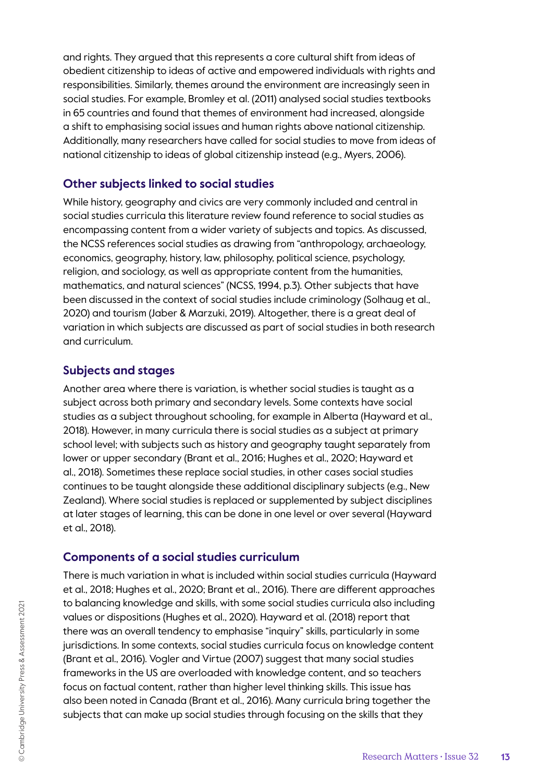and rights. They argued that this represents a core cultural shift from ideas of obedient citizenship to ideas of active and empowered individuals with rights and responsibilities. Similarly, themes around the environment are increasingly seen in social studies. For example, Bromley et al. (2011) analysed social studies textbooks in 65 countries and found that themes of environment had increased, alongside a shift to emphasising social issues and human rights above national citizenship. Additionally, many researchers have called for social studies to move from ideas of national citizenship to ideas of global citizenship instead (e.g., Myers, 2006).

#### **Other subjects linked to social studies**

While history, geography and civics are very commonly included and central in social studies curricula this literature review found reference to social studies as encompassing content from a wider variety of subjects and topics. As discussed, the NCSS references social studies as drawing from "anthropology, archaeology, economics, geography, history, law, philosophy, political science, psychology, religion, and sociology, as well as appropriate content from the humanities, mathematics, and natural sciences" (NCSS, 1994, p.3). Other subjects that have been discussed in the context of social studies include criminology (Solhaug et al., 2020) and tourism (Jaber & Marzuki, 2019). Altogether, there is a great deal of variation in which subjects are discussed as part of social studies in both research and curriculum.

### **Subjects and stages**

Another area where there is variation, is whether social studies is taught as a subject across both primary and secondary levels. Some contexts have social studies as a subject throughout schooling, for example in Alberta (Hayward et al., 2018). However, in many curricula there is social studies as a subject at primary school level; with subjects such as history and geography taught separately from lower or upper secondary (Brant et al., 2016; Hughes et al., 2020; Hayward et al., 2018). Sometimes these replace social studies, in other cases social studies continues to be taught alongside these additional disciplinary subjects (e.g., New Zealand). Where social studies is replaced or supplemented by subject disciplines at later stages of learning, this can be done in one level or over several (Hayward et al., 2018).

#### **Components of a social studies curriculum**

There is much variation in what is included within social studies curricula (Hayward et al., 2018; Hughes et al., 2020; Brant et al., 2016). There are different approaches to balancing knowledge and skills, with some social studies curricula also including values or dispositions (Hughes et al., 2020). Hayward et al. (2018) report that there was an overall tendency to emphasise "inquiry" skills, particularly in some jurisdictions. In some contexts, social studies curricula focus on knowledge content (Brant et al., 2016). Vogler and Virtue (2007) suggest that many social studies frameworks in the US are overloaded with knowledge content, and so teachers focus on factual content, rather than higher level thinking skills. This issue has also been noted in Canada (Brant et al., 2016). Many curricula bring together the subjects that can make up social studies through focusing on the skills that they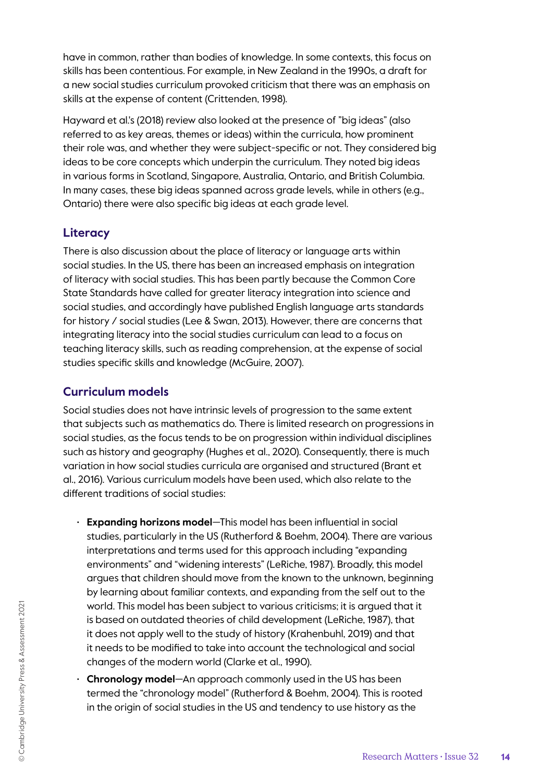have in common, rather than bodies of knowledge. In some contexts, this focus on skills has been contentious. For example, in New Zealand in the 1990s, a draft for a new social studies curriculum provoked criticism that there was an emphasis on skills at the expense of content (Crittenden, 1998).

Hayward et al.'s (2018) review also looked at the presence of "big ideas" (also referred to as key areas, themes or ideas) within the curricula, how prominent their role was, and whether they were subject-specific or not. They considered big ideas to be core concepts which underpin the curriculum. They noted big ideas in various forms in Scotland, Singapore, Australia, Ontario, and British Columbia. In many cases, these big ideas spanned across grade levels, while in others (e.g., Ontario) there were also specific big ideas at each grade level.

# **Literacy**

There is also discussion about the place of literacy or language arts within social studies. In the US, there has been an increased emphasis on integration of literacy with social studies. This has been partly because the Common Core State Standards have called for greater literacy integration into science and social studies, and accordingly have published English language arts standards for history / social studies (Lee & Swan, 2013). However, there are concerns that integrating literacy into the social studies curriculum can lead to a focus on teaching literacy skills, such as reading comprehension, at the expense of social studies specific skills and knowledge (McGuire, 2007).

### **Curriculum models**

Social studies does not have intrinsic levels of progression to the same extent that subjects such as mathematics do. There is limited research on progressions in social studies, as the focus tends to be on progression within individual disciplines such as history and geography (Hughes et al., 2020). Consequently, there is much variation in how social studies curricula are organised and structured (Brant et al., 2016). Various curriculum models have been used, which also relate to the different traditions of social studies:

- **Expanding horizons model**—This model has been influential in social studies, particularly in the US (Rutherford & Boehm, 2004). There are various interpretations and terms used for this approach including "expanding environments" and "widening interests" (LeRiche, 1987). Broadly, this model argues that children should move from the known to the unknown, beginning by learning about familiar contexts, and expanding from the self out to the world. This model has been subject to various criticisms; it is argued that it is based on outdated theories of child development (LeRiche, 1987), that it does not apply well to the study of history (Krahenbuhl, 2019) and that it needs to be modified to take into account the technological and social changes of the modern world (Clarke et al., 1990).
- **Chronology model**—An approach commonly used in the US has been termed the "chronology model" (Rutherford & Boehm, 2004). This is rooted in the origin of social studies in the US and tendency to use history as the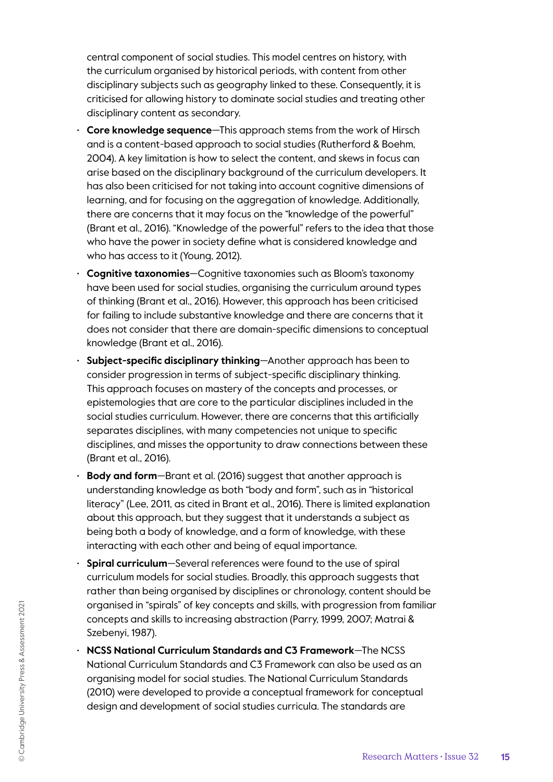central component of social studies. This model centres on history, with the curriculum organised by historical periods, with content from other disciplinary subjects such as geography linked to these. Consequently, it is criticised for allowing history to dominate social studies and treating other disciplinary content as secondary.

- **Core knowledge sequence**—This approach stems from the work of Hirsch and is a content-based approach to social studies (Rutherford & Boehm, 2004). A key limitation is how to select the content, and skews in focus can arise based on the disciplinary background of the curriculum developers. It has also been criticised for not taking into account cognitive dimensions of learning, and for focusing on the aggregation of knowledge. Additionally, there are concerns that it may focus on the "knowledge of the powerful" (Brant et al., 2016). "Knowledge of the powerful" refers to the idea that those who have the power in society define what is considered knowledge and who has access to it (Young, 2012).
- **Cognitive taxonomies**—Cognitive taxonomies such as Bloom's taxonomy have been used for social studies, organising the curriculum around types of thinking (Brant et al., 2016). However, this approach has been criticised for failing to include substantive knowledge and there are concerns that it does not consider that there are domain-specific dimensions to conceptual knowledge (Brant et al., 2016).
- **Subject-specific disciplinary thinking**—Another approach has been to consider progression in terms of subject-specific disciplinary thinking. This approach focuses on mastery of the concepts and processes, or epistemologies that are core to the particular disciplines included in the social studies curriculum. However, there are concerns that this artificially separates disciplines, with many competencies not unique to specific disciplines, and misses the opportunity to draw connections between these (Brant et al., 2016).
- **Body and form**—Brant et al. (2016) suggest that another approach is understanding knowledge as both "body and form", such as in "historical literacy" (Lee, 2011, as cited in Brant et al., 2016). There is limited explanation about this approach, but they suggest that it understands a subject as being both a body of knowledge, and a form of knowledge, with these interacting with each other and being of equal importance.
- **Spiral curriculum**—Several references were found to the use of spiral curriculum models for social studies. Broadly, this approach suggests that rather than being organised by disciplines or chronology, content should be organised in "spirals" of key concepts and skills, with progression from familiar concepts and skills to increasing abstraction (Parry, 1999, 2007; Matrai & Szebenyi, 1987).
- **NCSS National Curriculum Standards and C3 Framework**—The NCSS National Curriculum Standards and C3 Framework can also be used as an organising model for social studies. The National Curriculum Standards (2010) were developed to provide a conceptual framework for conceptual design and development of social studies curricula. The standards are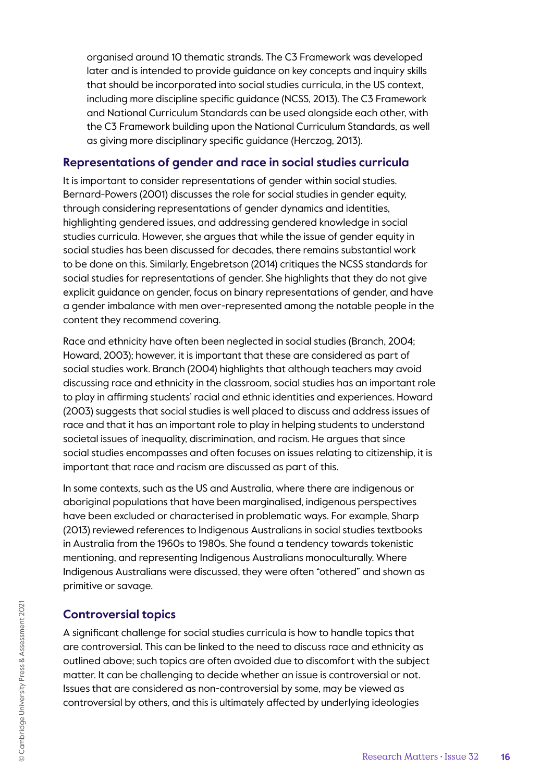organised around 10 thematic strands. The C3 Framework was developed later and is intended to provide guidance on key concepts and inquiry skills that should be incorporated into social studies curricula, in the US context, including more discipline specific guidance (NCSS, 2013). The C3 Framework and National Curriculum Standards can be used alongside each other, with the C3 Framework building upon the National Curriculum Standards, as well as giving more disciplinary specific guidance (Herczog, 2013).

#### **Representations of gender and race in social studies curricula**

It is important to consider representations of gender within social studies. Bernard-Powers (2001) discusses the role for social studies in gender equity, through considering representations of gender dynamics and identities, highlighting gendered issues, and addressing gendered knowledge in social studies curricula. However, she argues that while the issue of gender equity in social studies has been discussed for decades, there remains substantial work to be done on this. Similarly, Engebretson (2014) critiques the NCSS standards for social studies for representations of gender. She highlights that they do not give explicit guidance on gender, focus on binary representations of gender, and have a gender imbalance with men over-represented among the notable people in the content they recommend covering.

Race and ethnicity have often been neglected in social studies (Branch, 2004; Howard, 2003); however, it is important that these are considered as part of social studies work. Branch (2004) highlights that although teachers may avoid discussing race and ethnicity in the classroom, social studies has an important role to play in affirming students' racial and ethnic identities and experiences. Howard (2003) suggests that social studies is well placed to discuss and address issues of race and that it has an important role to play in helping students to understand societal issues of inequality, discrimination, and racism. He argues that since social studies encompasses and often focuses on issues relating to citizenship, it is important that race and racism are discussed as part of this.

In some contexts, such as the US and Australia, where there are indigenous or aboriginal populations that have been marginalised, indigenous perspectives have been excluded or characterised in problematic ways. For example, Sharp (2013) reviewed references to Indigenous Australians in social studies textbooks in Australia from the 1960s to 1980s. She found a tendency towards tokenistic mentioning, and representing Indigenous Australians monoculturally. Where Indigenous Australians were discussed, they were often "othered" and shown as primitive or savage.

#### **Controversial topics**

A significant challenge for social studies curricula is how to handle topics that are controversial. This can be linked to the need to discuss race and ethnicity as outlined above; such topics are often avoided due to discomfort with the subject matter. It can be challenging to decide whether an issue is controversial or not. Issues that are considered as non-controversial by some, may be viewed as controversial by others, and this is ultimately affected by underlying ideologies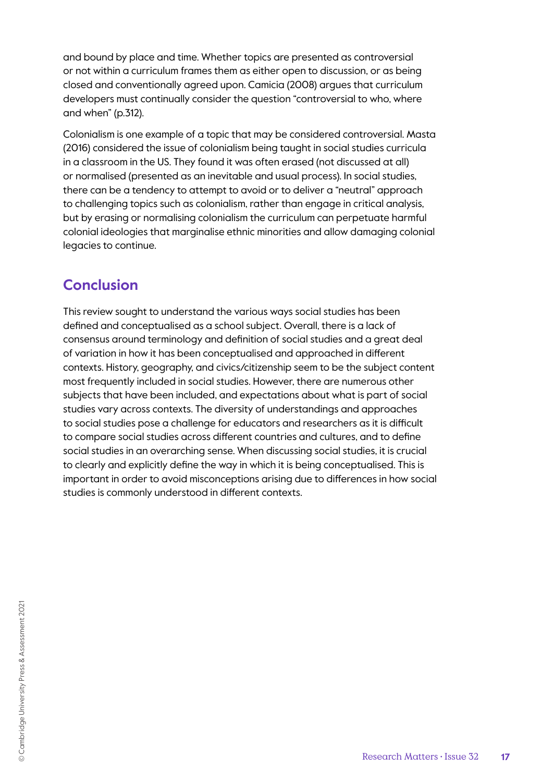and bound by place and time. Whether topics are presented as controversial or not within a curriculum frames them as either open to discussion, or as being closed and conventionally agreed upon. Camicia (2008) argues that curriculum developers must continually consider the question "controversial to who, where and when" (p.312).

Colonialism is one example of a topic that may be considered controversial. Masta (2016) considered the issue of colonialism being taught in social studies curricula in a classroom in the US. They found it was often erased (not discussed at all) or normalised (presented as an inevitable and usual process). In social studies, there can be a tendency to attempt to avoid or to deliver a "neutral" approach to challenging topics such as colonialism, rather than engage in critical analysis, but by erasing or normalising colonialism the curriculum can perpetuate harmful colonial ideologies that marginalise ethnic minorities and allow damaging colonial legacies to continue.

# **Conclusion**

This review sought to understand the various ways social studies has been defined and conceptualised as a school subject. Overall, there is a lack of consensus around terminology and definition of social studies and a great deal of variation in how it has been conceptualised and approached in different contexts. History, geography, and civics/citizenship seem to be the subject content most frequently included in social studies. However, there are numerous other subjects that have been included, and expectations about what is part of social studies vary across contexts. The diversity of understandings and approaches to social studies pose a challenge for educators and researchers as it is difficult to compare social studies across different countries and cultures, and to define social studies in an overarching sense. When discussing social studies, it is crucial to clearly and explicitly define the way in which it is being conceptualised. This is important in order to avoid misconceptions arising due to differences in how social studies is commonly understood in different contexts.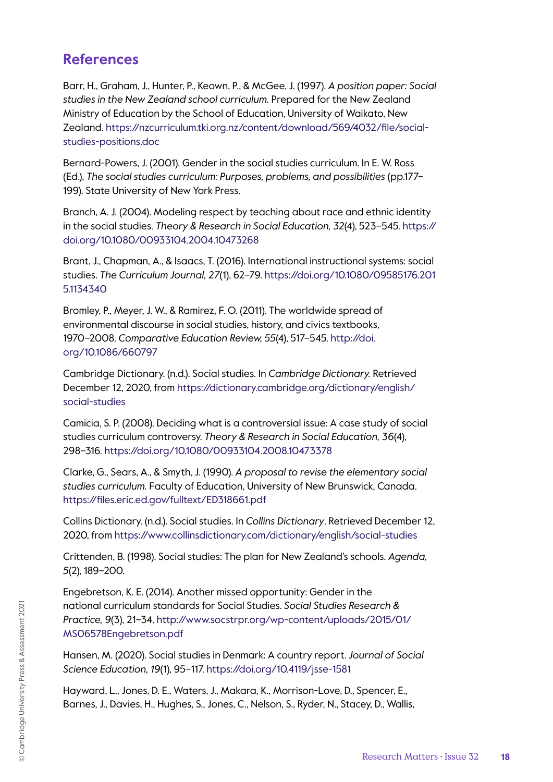# **References**

Barr, H., Graham, J., Hunter, P., Keown, P., & McGee, J. (1997). *A position paper: Social studies in the New Zealand school curriculum.* Prepared for the New Zealand Ministry of Education by the School of Education, University of Waikato, New Zealand. https://nzcurriculum.tki.org.nz/content/download/569/4032/file/socialstudies-positions.doc

Bernard-Powers, J. (2001). Gender in the social studies curriculum. In E. W. Ross (Ed.), *The social studies curriculum: Purposes, problems, and possibilities* (pp.177– 199). State University of New York Press.

Branch, A. J. (2004). Modeling respect by teaching about race and ethnic identity in the social studies. *Theory & Research in Social Education, 32*(4), 523–545. https:// doi.org/10.1080/00933104.2004.10473268

Brant, J., Chapman, A., & Isaacs, T. (2016). International instructional systems: social studies. *The Curriculum Journal, 27*(1), 62–79. https://doi.org/10.1080/09585176.201 5.1134340

Bromley, P., Meyer, J. W., & Ramirez, F. O. (2011). The worldwide spread of environmental discourse in social studies, history, and civics textbooks, 1970–2008. *Comparative Education Review, 55*(4), 517–545. http://doi. org/10.1086/660797

Cambridge Dictionary. (n.d.). Social studies. In *Cambridge Dictionary.* Retrieved December 12, 2020, from https://dictionary.cambridge.org/dictionary/english/ social-studies

Camicia, S. P. (2008). Deciding what is a controversial issue: A case study of social studies curriculum controversy. *Theory & Research in Social Education, 36*(4), 298–316. https://doi.org/10.1080/00933104.2008.10473378

Clarke, G., Sears, A., & Smyth, J. (1990). *A proposal to revise the elementary social studies curriculum.* Faculty of Education, University of New Brunswick, Canada. https://files.eric.ed.gov/fulltext/ED318661.pdf

Collins Dictionary. (n.d.). Social studies. In *Collins Dictionary*. Retrieved December 12, 2020, from https://www.collinsdictionary.com/dictionary/english/social-studies

Crittenden, B. (1998). Social studies: The plan for New Zealand's schools. *Agenda, 5*(2), 189–200.

Engebretson, K. E. (2014). Another missed opportunity: Gender in the national curriculum standards for Social Studies. *Social Studies Research & Practice, 9*(3), 21–34. http://www.socstrpr.org/wp-content/uploads/2015/01/ MS06578Engebretson.pdf

Hansen, M. (2020). Social studies in Denmark: A country report. *Journal of Social Science Education, 19*(1), 95–117. https://doi.org/10.4119/jsse-1581

Hayward, L., Jones, D. E., Waters, J., Makara, K., Morrison-Love, D., Spencer, E., Barnes, J., Davies, H., Hughes, S., Jones, C., Nelson, S., Ryder, N., Stacey, D., Wallis,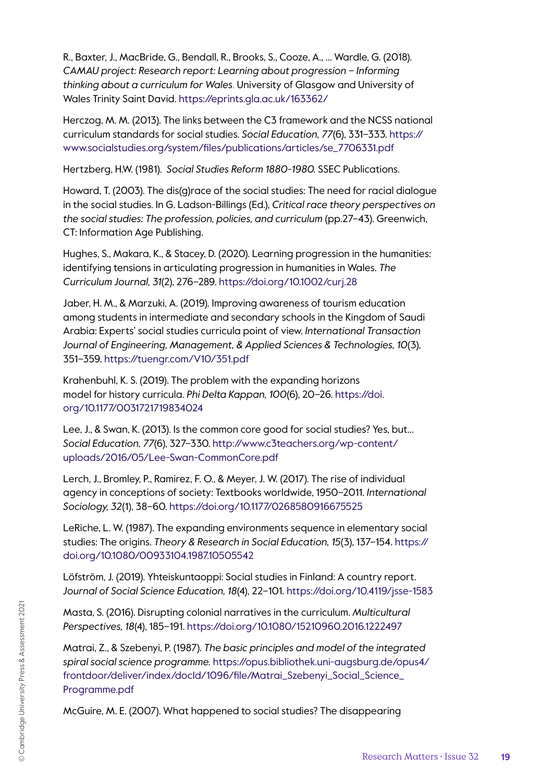R., Baxter, J., MacBride, G., Bendall, R., Brooks, S., Cooze, A., … Wardle, G. (2018). *CAMAU project: Research report: Learning about progression – Informing thinking about a curriculum for Wales*. University of Glasgow and University of Wales Trinity Saint David. https://eprints.gla.ac.uk/163362/

Herczog, M. M. (2013). The links between the C3 framework and the NCSS national curriculum standards for social studies. *Social Education, 77*(6), 331–333. https:// www.socialstudies.org/system/files/publications/articles/se\_7706331.pdf

Hertzberg, H.W. (1981). *Social Studies Reform 1880-1980.* SSEC Publications.

Howard, T. (2003). The dis(g)race of the social studies: The need for racial dialogue in the social studies. In G. Ladson-Billings (Ed.), *Critical race theory perspectives on the social studies: The profession, policies, and curriculum* (pp.27–43). Greenwich, CT: Information Age Publishing.

Hughes, S., Makara, K., & Stacey, D. (2020). Learning progression in the humanities: identifying tensions in articulating progression in humanities in Wales. *The Curriculum Journal, 31*(2), 276–289. https://doi.org/10.1002/curj.28

Jaber, H. M., & Marzuki, A. (2019). Improving awareness of tourism education among students in intermediate and secondary schools in the Kingdom of Saudi Arabia: Experts' social studies curricula point of view. *International Transaction Journal of Engineering, Management, & Applied Sciences & Technologies, 10*(3), 351–359. https://tuengr.com/V10/351.pdf

Krahenbuhl, K. S. (2019). The problem with the expanding horizons model for history curricula. *Phi Delta Kappan, 100*(6), 20–26. https://doi. org/10.1177/0031721719834024

Lee, J., & Swan, K. (2013). Is the common core good for social studies? Yes, but… *Social Education, 77*(6), 327–330. http://www.c3teachers.org/wp-content/ uploads/2016/05/Lee-Swan-CommonCore.pdf

Lerch, J., Bromley, P., Ramirez, F. O., & Meyer, J. W. (2017). The rise of individual agency in conceptions of society: Textbooks worldwide, 1950–2011. *International Sociology, 32*(1), 38–60. https://doi.org/10.1177/0268580916675525

LeRiche, L. W. (1987). The expanding environments sequence in elementary social studies: The origins. *Theory & Research in Social Education, 15*(3), 137–154. https:// doi.org/10.1080/00933104.1987.10505542

Löfström, J. (2019). Yhteiskuntaoppi: Social studies in Finland: A country report. *Journal of Social Science Education, 18*(4), 22–101. https://doi.org/10.4119/jsse-1583

Masta, S. (2016). Disrupting colonial narratives in the curriculum. *Multicultural Perspectives, 18*(4), 185–191. https://doi.org/10.1080/15210960.2016.1222497

Matrai, Z., & Szebenyi, P. (1987). *The basic principles and model of the integrated spiral social science programme.* https://opus.bibliothek.uni-augsburg.de/opus4/ frontdoor/deliver/index/docId/1096/file/Matrai\_Szebenyi\_Social\_Science\_ Programme.pdf

McGuire, M. E. (2007). What happened to social studies? The disappearing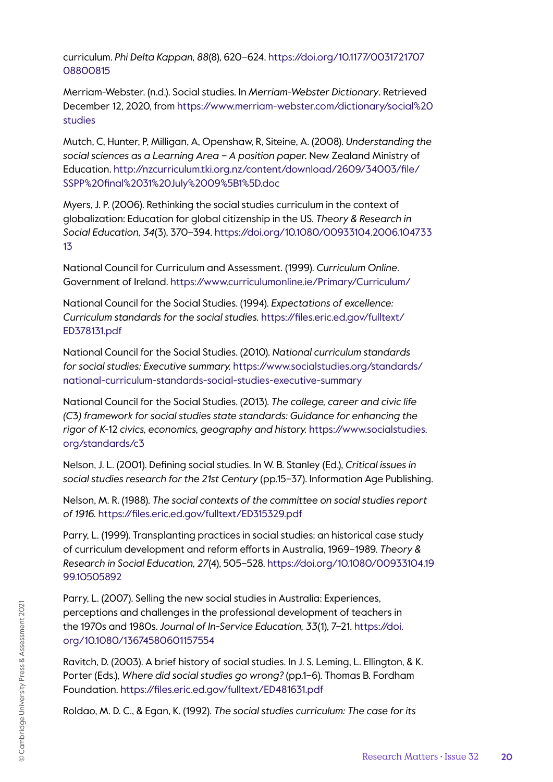curriculum. *Phi Delta Kappan, 88*(8), 620–624. https://doi.org/10.1177/0031721707 08800815

Merriam-Webster. (n.d.). Social studies. In *Merriam-Webster Dictionary*. Retrieved December 12, 2020, from https://www.merriam-webster.com/dictionary/social%20 studies

Mutch, C, Hunter, P, Milligan, A, Openshaw, R, Siteine, A. (2008). *Understanding the social sciences as a Learning Area – A position paper.* New Zealand Ministry of Education. http://nzcurriculum.tki.org.nz/content/download/2609/34003/file/ SSPP%20final%2031%20July%2009%5B1%5D.doc

Myers, J. P. (2006). Rethinking the social studies curriculum in the context of globalization: Education for global citizenship in the US. *Theory & Research in Social Education, 34*(3), 370–394. https://doi.org/10.1080/00933104.2006.104733 13

National Council for Curriculum and Assessment. (1999). *Curriculum Online*. Government of Ireland. https://www.curriculumonline.ie/Primary/Curriculum/

National Council for the Social Studies. (1994). *Expectations of excellence: Curriculum standards for the social studies.* https://files.eric.ed.gov/fulltext/ ED378131.pdf

National Council for the Social Studies. (2010). *National curriculum standards for social studies: Executive summary.* https://www.socialstudies.org/standards/ national-curriculum-standards-social-studies-executive-summary

National Council for the Social Studies. (2013). *The college, career and civic life (C*3*) framework for social studies state standards: Guidance for enhancing the rigor of K-*12 *civics, economics, geography and history.* https://www.socialstudies. org/standards/c3

Nelson, J. L. (2001). Defining social studies. In W. B. Stanley (Ed.), *Critical issues in social studies research for the 21st Century* (pp.15–37). Information Age Publishing.

Nelson, M. R. (1988). *The social contexts of the committee on social studies report of 1916.* https://files.eric.ed.gov/fulltext/ED315329.pdf

Parry, L. (1999). Transplanting practices in social studies: an historical case study of curriculum development and reform efforts in Australia, 1969–1989. *Theory & Research in Social Education, 27*(4), 505–528. https://doi.org/10.1080/00933104.19 99.10505892

Parry, L. (2007). Selling the new social studies in Australia: Experiences, perceptions and challenges in the professional development of teachers in the 1970s and 1980s. *Journal of In-Service Education, 33*(1), 7–21. https://doi. org/10.1080/13674580601157554

Ravitch, D. (2003). A brief history of social studies. In J. S. Leming, L. Ellington, & K. Porter (Eds.), *Where did social studies go wrong?* (pp.1–6). Thomas B. Fordham Foundation. https://files.eric.ed.gov/fulltext/ED481631.pdf

Roldao, M. D. C., & Egan, K. (1992). *The social studies curriculum: The case for its*